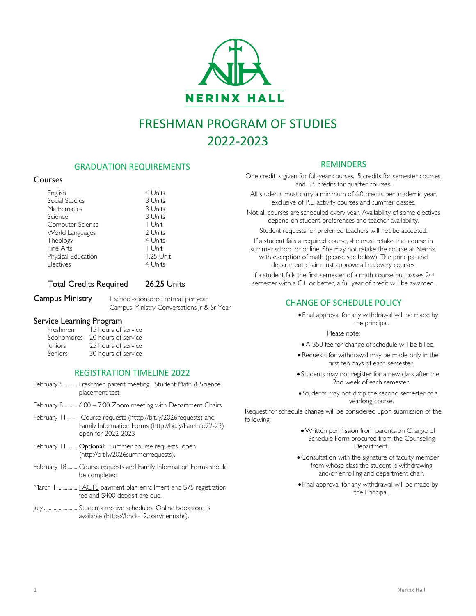

# FRESHMAN PROGRAM OF STUDIES 2022-2023

# GRADUATION REQUIREMENTS

## **Courses**

| English            | 4 Units   |
|--------------------|-----------|
| Social Studies     | 3 Units   |
| Mathematics        | 3 Units   |
| Science            | 3 Units   |
| Computer Science   | I Unit    |
| World Languages    | 2 Units   |
| Theology           | 4 Units   |
| Fine Arts          | I Unit    |
| Physical Education | 1.25 Unit |
| Electives          | 4 Units   |

# Total Credits Required 26.25 Units

Campus Ministry 1 school-sponsored retreat per year Campus Ministry Conversations Jr & Sr Year

# Service Learning Program

| 15 hours of service               |
|-----------------------------------|
| 20 hours of service<br>Sophomores |
| 25 hours of service               |
| 30 hours of service               |
|                                   |

# REGISTRATION TIMELINE 2022

- February 5............Freshmen parent meeting. Student Math & Science placement test.
- February 8.............. 6:00 7:00 Zoom meeting with Department Chairs.
- February 11................. Course requests (htttp://bit.ly/2026requests) and Family Information Forms (http://bit.ly/FamInfo22-23) open for 2022-2023
- February 11 ......... Optional: Summer course requests open (http://bit.ly/2026summerrequests).
- February 18 .........Course requests and Family Information Forms should be completed.
- March 1....................FACTS payment plan enrollment and \$75 registration fee and \$400 deposit are due.
- July.............................Students receive schedules. Online bookstore is available (https://bnck-12.com/nerinxhs).

# REMINDERS

One credit is given for full-year courses, .5 credits for semester courses, and .25 credits for quarter courses.

All students must carry a minimum of 6.0 credits per academic year, exclusive of P.E. activity courses and summer classes.

Not all courses are scheduled every year. Availability of some electives depend on student preferences and teacher availability.

Student requests for preferred teachers will not be accepted.

If a student fails a required course, she must retake that course in summer school or online. She may not retake the course at Nerinx, with exception of math (please see below). The principal and department chair must approve all recovery courses.

If a student fails the first semester of a math course but passes 2nd semester with a C+ or better, a full year of credit will be awarded.

# CHANGE OF SCHEDULE POLICY

• Final approval for any withdrawal will be made by the principal.

Please note:

- •A \$50 fee for change of schedule will be billed.
- Requests for withdrawal may be made only in the first ten days of each semester.
- Students may not register for a new class after the 2nd week of each semester.
- Students may not drop the second semester of a yearlong course.

Request for schedule change will be considered upon submission of the following:

- •Written permission from parents on Change of Schedule Form procured from the Counseling Department.
- •Consultation with the signature of faculty member from whose class the student is withdrawing and/or enrolling and department chair.
- Final approval for any withdrawal will be made by the Principal.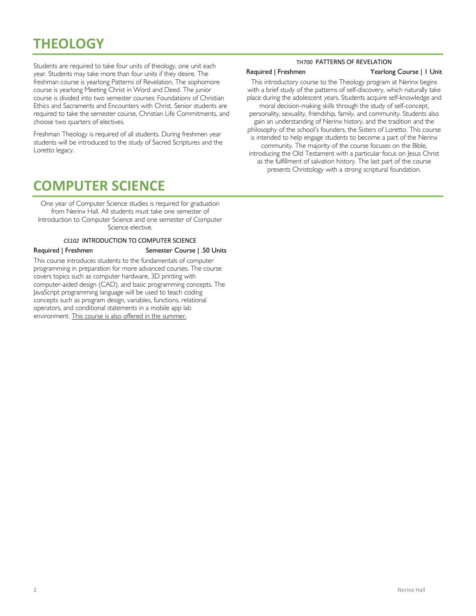# **THEOLOGY**

Students are required to take four units of theology, one unit each year. Students may take more than four units if they desire. The freshman course is yearlong Patterns of Revelation. The sophomore course is yearlong Meeting Christ in Word and Deed. The junior course is divided into two semester courses: Foundations of Christian Ethics and Sacraments and Encounters with Christ. Senior students are required to take the semester course, Christian Life Commitments, and choose two quarters of electives.

Freshman Theology is required of all students. During freshmen year students will be introduced to the study of Sacred Scriptures and the Loretto legacy.

## TH700 PATTERNS OF REVELATION

### Required | Freshmen Yearlong Course | 1 Unit

This introductory course to the Theology program at Nerinx begins with a brief study of the patterns of self-discovery, which naturally take place during the adolescent years. Students acquire self-knowledge and moral decision-making skills through the study of self-concept, personality, sexuality, friendship, family, and community. Students also gain an understanding of Nerinx history, and the tradition and the philosophy of the school's founders, the Sisters of Loretto. This course is intended to help engage students to become a part of the Nerinx community. The majority of the course focuses on the Bible, introducing the Old Testament with a particular focus on Jesus Christ as the fulfillment of salvation history. The last part of the course presents Christology with a strong scriptural foundation.

# **COMPUTER SCIENCE**

One year of Computer Science studies is required for graduation from Nerinx Hall. All students must take one semester of Introduction to Computer Science and one semester of Computer Science elective.

### *CS102* INTRODUCTION TO COMPUTER SCIENCE

Required | Freshmen Semester Course | .50 Units

This course introduces students to the fundamentals of computer programming in preparation for more advanced courses. The course covers topics such as computer hardware, 3D printing with computer-aided design (CAD), and basic programming concepts. The JavaScript programming language will be used to teach coding concepts such as program design, variables, functions, relational operators, and conditional statements in a mobile app lab environment. This course is also offered in the summer.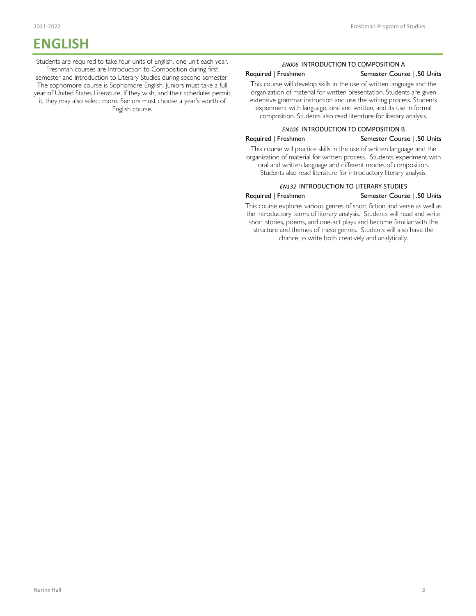# **ENGLISH**

Students are required to take four units of English, one unit each year. Freshman courses are Introduction to Composition during first semester and Introduction to Literary Studies during second semester. The sophomore course is Sophomore English. Juniors must take a full year of United States Literature. If they wish, and their schedules permit it, they may also select more. Seniors must choose a year's worth of English course.

### *EN006* INTRODUCTION TO COMPOSITION A

### Required | Freshmen Semester Course | .50 Units

This course will develop skills in the use of written language and the organization of material for written presentation. Students are given extensive grammar instruction and use the writing process. Students experiment with language, oral and written, and its use in formal composition. Students also read literature for literary analysis.

### *EN106* INTRODUCTION TO COMPOSITION B

# Required | Freshmen Semester Course | .50 Units

This course will practice skills in the use of written language and the organization of material for written process. Students experiment with oral and written language and different modes of composition. Students also read literature for introductory literary analysis.

### *EN132* INTRODUCTION TO LITERARY STUDIES

### Required | Freshmen Semester Course | .50 Units

This course explores various genres of short fiction and verse as well as the introductory terms of literary analysis. Students will read and write short stories, poems, and one-act plays and become familiar with the structure and themes of these genres. Students will also have the chance to write both creatively and analytically.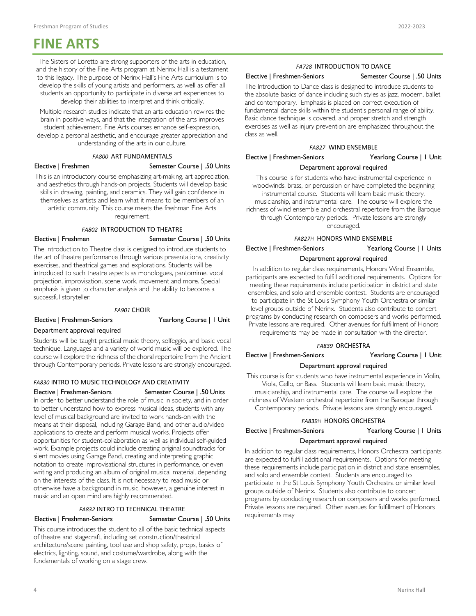# **FINE ARTS**

The Sisters of Loretto are strong supporters of the arts in education, and the history of the Fine Arts program at Nerinx Hall is a testament to this legacy. The purpose of Nerinx Hall's Fine Arts curriculum is to develop the skills of young artists and performers, as well as offer all students an opportunity to participate in diverse art experiences to develop their abilities to interpret and think critically.

Multiple research studies indicate that an arts education rewires the brain in positive ways, and that the integration of the arts improves student achievement. Fine Arts courses enhance self-expression, develop a personal aesthetic, and encourage greater appreciation and understanding of the arts in our culture.

### *FA800* ART FUNDAMENTALS

# Elective | Freshmen Semester Course | .50 Units

This is an introductory course emphasizing art-making, art appreciation, and aesthetics through hands-on projects. Students will develop basic skills in drawing, painting, and ceramics. They will gain confidence in themselves as artists and learn what it means to be members of an artistic community. This course meets the freshman Fine Arts requirement.

*FA802* INTRODUCTION TO THEATRE

Elective | Freshmen Semester Course | .50 Units

The Introduction to Theatre class is designed to introduce students to the art of theatre performance through various presentations, creativity exercises, and theatrical games and explorations. Students will be introduced to such theatre aspects as monologues, pantomime, vocal projection, improvisation, scene work, movement and more. Special emphasis is given to character analysis and the ability to become a successful storyteller.

### *FA901* CHOIR

Elective | Freshmen-Seniors Yearlong Course | 1 Unit

### Department approval required

Students will be taught practical music theory, solfeggio, and basic vocal technique. Languages and a variety of world music will be explored. The course will explore the richness of the choral repertoire from the Ancient through Contemporary periods. Private lessons are strongly encouraged.

### *FA830* INTRO TO MUSIC TECHNOLOGY AND CREATIVITY

### Elective | Freshmen-Seniors Semester Course | .50 Units

In order to better understand the role of music in society, and in order to better understand how to express musical ideas, students with any level of musical background are invited to work hands-on with the means at their disposal, including Garage Band, and other audio/video applications to create and perform musical works. Projects offer opportunities for student-collaboration as well as individual self-guided work. Example projects could include creating original soundtracks for silent movies using Garage Band, creating and interpreting graphic notation to create improvisational structures in performance, or even writing and producing an album of original musical material, depending on the interests of the class. It is not necessary to read music or otherwise have a background in music, however, a genuine interest in music and an open mind are highly recommended.

### *FA832* INTRO TO TECHNICAL THEATRE Elective | Freshmen-Seniors Semester Course | .50 Units

This course introduces the student to all of the basic technical aspects of theatre and stagecraft, including set construction/theatrical architecture/scene painting, tool use and shop safety, props, basics of electrics, lighting, sound, and costume/wardrobe, along with the fundamentals of working on a stage crew.

# *FA728* INTRODUCTION TO DANCE

### Elective | Freshmen-Seniors Semester Course | .50 Units

The Introduction to Dance class is designed to introduce students to the absolute basics of dance including such styles as jazz, modern, ballet and contemporary. Emphasis is placed on correct execution of fundamental dance skills within the student's personal range of ability. Basic dance technique is covered, and proper stretch and strength exercises as well as injury prevention are emphasized throughout the class as well.

### *FA827* WIND ENSEMBLE

# Elective | Freshmen-Seniors Yearlong Course | 1 Unit Department approval required

This course is for students who have instrumental experience in woodwinds, brass, or percussion or have completed the beginning instrumental course. Students will learn basic music theory, musicianship, and instrumental care. The course will explore the richness of wind ensemble and orchestral repertoire from the Baroque through Contemporary periods. Private lessons are strongly encouraged.

*FA827H* HONORS WIND ENSEMBLE

Elective | Freshmen-Seniors Yearlong Course | 1 Units

### Department approval required

In addition to regular class requirements, Honors Wind Ensemble, participants are expected to fulfill additional requirements. Options for meeting these requirements include participation in district and state ensembles, and solo and ensemble contest. Students are encouraged to participate in the St Louis Symphony Youth Orchestra or similar level groups outside of Nerinx. Students also contribute to concert programs by conducting research on composers and works performed. Private lessons are required. Other avenues for fulfillment of Honors requirements may be made in consultation with the director.

### *FA839* ORCHESTRA

Elective | Freshmen-Seniors Yearlong Course | 1 Unit

### Department approval required

This course is for students who have instrumental experience in Violin, Viola, Cello, or Bass. Students will learn basic music theory, musicianship, and instrumental care. The course will explore the richness of Western orchestral repertoire from the Baroque through Contemporary periods. Private lessons are strongly encouraged.

### *FA839H* HONORS ORCHESTRA

Elective | Freshmen-Seniors Yearlong Course | 1 Units

### Department approval required

In addition to regular class requirements, Honors Orchestra participants are expected to fulfill additional requirements. Options for meeting these requirements include participation in district and state ensembles, and solo and ensemble contest. Students are encouraged to participate in the St Louis Symphony Youth Orchestra or similar level groups outside of Nerinx. Students also contribute to concert programs by conducting research on composers and works performed. Private lessons are required. Other avenues for fulfillment of Honors requirements may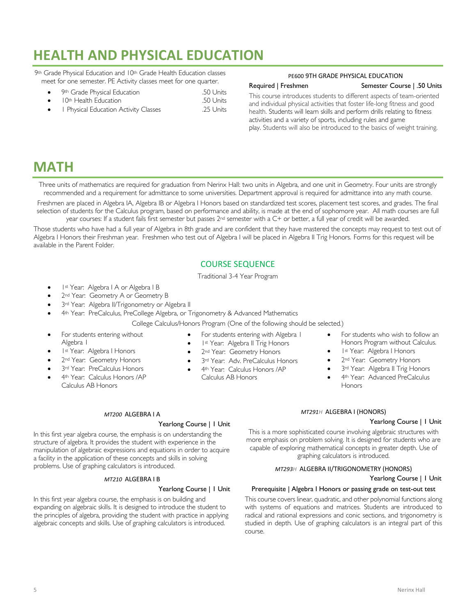# **HEALTH AND PHYSICAL EDUCATION**

9th Grade Physical Education and 10th Grade Health Education classes meet for one semester. PE Activity classes meet for one quarter.

- 9th Grade Physical Education .50 Units
- 10th Health Education .50 Units
- 1 Physical Education Activity Classes .25 Units

# PE600 9TH GRADE PHYSICAL EDUCATION

## Required | Freshmen Semester Course | .50 Units

This course introduces students to different aspects of team-oriented and individual physical activities that foster life-long fitness and good health. Students will learn skills and perform drills relating to fitness activities and a variety of sports, including rules and game play. Students will also be introduced to the basics of weight training.

# **MATH**

Three units of mathematics are required for graduation from Nerinx Hall: two units in Algebra, and one unit in Geometry. Four units are strongly recommended and a requirement for admittance to some universities. Department approval is required for admittance into any math course.

Freshmen are placed in Algebra IA, Algebra IB or Algebra I Honors based on standardized test scores, placement test scores, and grades. The final selection of students for the Calculus program, based on performance and ability, is made at the end of sophomore year. All math courses are full year courses: If a student fails first semester but passes 2nd semester with a C+ or better, a full year of credit will be awarded.

Those students who have had a full year of Algebra in 8th grade and are confident that they have mastered the concepts may request to test out of Algebra I Honors their Freshman year. Freshmen who test out of Algebra I will be placed in Algebra II Trig Honors. Forms for this request will be available in the Parent Folder.

# COURSE SEQUENCE

Traditional 3-4 Year Program

- Ist Year: Algebra I A or Algebra I B
- 2<sup>nd</sup> Year: Geometry A or Geometry B
- 3rd Year: Algebra II/Trigonometry or Algebra II
- 4th Year: PreCalculus, PreCollege Algebra, or Trigonometry & Advanced Mathematics

College Calculus/Honors Program (One of the following should be selected.)

- For students entering without Algebra 1
- 1st Year: Algebra I Honors
- 2<sup>nd</sup> Year: Geometry Honors
- 3rd Year: PreCalculus Honors
- 4th Year: Calculus Honors / AP Calculus AB Honors
- For students entering with Algebra 1
- Ist Year: Algebra II Trig Honors
- 2<sup>nd</sup> Year: Geometry Honors
- 3rd Year: Adv. PreCalculus Honors
- 4th Year: Calculus Honors / AP
- Calculus AB Honors
- For students who wish to follow an Honors Program without Calculus.
- 1st Year: Algebra I Honors
- 2<sup>nd</sup> Year: Geometry Honors
- 3rd Year: Algebra II Trig Honors
- 4th Year: Advanced PreCalculus **Honors**

## *MT200* ALGEBRA I A

### Yearlong Course | 1 Unit

In this first year algebra course, the emphasis is on understanding the structure of algebra. It provides the student with experience in the manipulation of algebraic expressions and equations in order to acquire a facility in the application of these concepts and skills in solving problems. Use of graphing calculators is introduced.

### *MT210* ALGEBRA I B

### Yearlong Course | 1 Unit

In this first year algebra course, the emphasis is on building and expanding on algebraic skills. It is designed to introduce the student to the principles of algebra, providing the student with practice in applying algebraic concepts and skills. Use of graphing calculators is introduced.

## *MT291H* ALGEBRA I (HONORS)

# Yearlong Course | 1 Unit

This is a more sophisticated course involving algebraic structures with more emphasis on problem solving. It is designed for students who are capable of exploring mathematical concepts in greater depth. Use of graphing calculators is introduced.

# *MT293H* ALGEBRA II/TRIGONOMETRY (HONORS)

# Yearlong Course | 1 Unit

# Prerequisite | Algebra I Honors or passing grade on test-out test

This course covers linear, quadratic, and other polynomial functions along with systems of equations and matrices. Students are introduced to radical and rational expressions and conic sections, and trigonometry is studied in depth. Use of graphing calculators is an integral part of this course.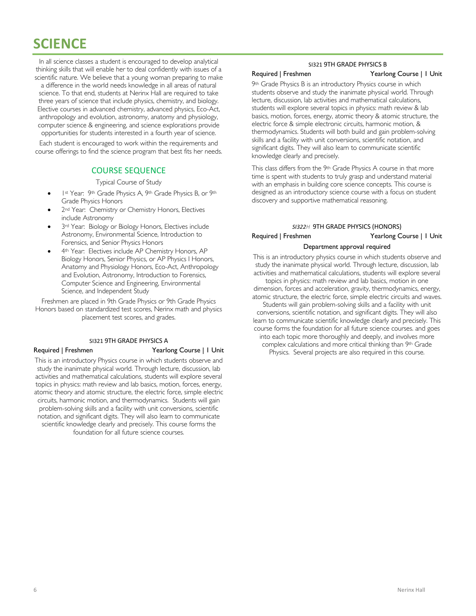# **SCIENCE**

In all science classes a student is encouraged to develop analytical thinking skills that will enable her to deal confidently with issues of a scientific nature. We believe that a young woman preparing to make

a difference in the world needs knowledge in all areas of natural science. To that end, students at Nerinx Hall are required to take three years of science that include physics, chemistry, and biology. Elective courses in advanced chemistry, advanced physics, Eco-Act, anthropology and evolution, astronomy, anatomy and physiology, computer science & engineering, and science explorations provide opportunities for students interested in a fourth year of science.

Each student is encouraged to work within the requirements and course offerings to find the science program that best fits her needs.

# COURSE SEQUENCE

Typical Course of Study

- 1st Year: 9th Grade Physics A, 9th Grade Physics B, or 9th Grade Physics Honors
- 2<sup>nd</sup> Year: Chemistry or Chemistry Honors, Electives include Astronomy
- 3<sup>rd</sup> Year: Biology or Biology Honors, Electives include Astronomy, Environmental Science, Introduction to Forensics, and Senior Physics Honors
- 4th Year: Electives include AP Chemistry Honors, AP Biology Honors, Senior Physics, or AP Physics I Honors, Anatomy and Physiology Honors, Eco-Act, Anthropology and Evolution, Astronomy, Introduction to Forensics, Computer Science and Engineering, Environmental Science, and Independent Study

Freshmen are placed in 9th Grade Physics or 9th Grade Physics Honors based on standardized test scores, Nerinx math and physics placement test scores, and grades.

### SI321 9TH GRADE PHYSICS A

### Required | Freshmen Yearlong Course | 1 Unit

This is an introductory Physics course in which students observe and study the inanimate physical world. Through lecture, discussion, lab activities and mathematical calculations, students will explore several topics in physics: math review and lab basics, motion, forces, energy, atomic theory and atomic structure, the electric force, simple electric circuits, harmonic motion, and thermodynamics. Students will gain problem-solving skills and a facility with unit conversions, scientific notation, and significant digits. They will also learn to communicate scientific knowledge clearly and precisely. This course forms the foundation for all future science courses.

### SI321 9TH GRADE PHYSICS B

### Required | Freshmen Yearlong Course | 1 Unit

9th Grade Physics B is an introductory Physics course in which students observe and study the inanimate physical world. Through lecture, discussion, lab activities and mathematical calculations, students will explore several topics in physics: math review & lab basics, motion, forces, energy, atomic theory & atomic structure, the electric force & simple electronic circuits, harmonic motion, & thermodynamics. Students will both build and gain problem-solving skills and a facility with unit conversions, scientific notation, and significant digits. They will also learn to communicate scientific knowledge clearly and precisely.

This class differs from the 9th Grade Physics A course in that more time is spent with students to truly grasp and understand material with an emphasis in building core science concepts. This course is designed as an introductory science course with a focus on student discovery and supportive mathematical reasoning.

### *SI322H* 9TH GRADE PHYSICS (HONORS)

# Required | Freshmen Yearlong Course | 1 Unit Department approval required

This is an introductory physics course in which students observe and study the inanimate physical world. Through lecture, discussion, lab activities and mathematical calculations, students will explore several topics in physics: math review and lab basics, motion in one dimension, forces and acceleration, gravity, thermodynamics, energy, atomic structure, the electric force, simple electric circuits and waves. Students will gain problem-solving skills and a facility with unit conversions, scientific notation, and significant digits. They will also learn to communicate scientific knowledge clearly and precisely. This course forms the foundation for all future science courses. and goes into each topic more thoroughly and deeply, and involves more complex calculations and more critical thinking than 9th Grade Physics. Several projects are also required in this course.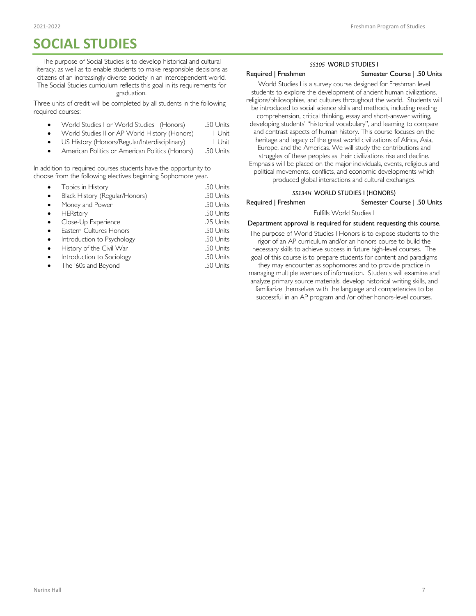# **SOCIAL STUDIES**

The purpose of Social Studies is to develop historical and cultural literacy, as well as to enable students to make responsible decisions as citizens of an increasingly diverse society in an interdependent world. The Social Studies curriculum reflects this goal in its requirements for graduation.

### Three units of credit will be completed by all students in the following required courses:

- World Studies I or World Studies I (Honors) .50 Units
- World Studies II or AP World History (Honors) 1 Unit
- US History (Honors/Regular/Interdisciplinary) | Unit
- American Politics or American Politics (Honors) .50 Units

In addition to required courses students have the opportunity to choose from the following electives beginning Sophomore year.

|           | Topics in History              | .50 Units |
|-----------|--------------------------------|-----------|
|           | Black History (Regular/Honors) | .50 Units |
| $\bullet$ | Money and Power                | .50 Units |
|           | HERstory                       | .50 Units |
|           | Close-Up Experience            | .25 Units |
|           | Eastern Cultures Honors        | .50 Units |
|           | Introduction to Psychology     | .50 Units |
|           | History of the Civil War       | .50 Units |
|           | Introduction to Sociology      | .50 Units |
|           | The '60s and Beyond            | .50 Units |
|           |                                |           |

## *SS105* WORLD STUDIES I

### Required | Freshmen Semester Course | .50 Units

World Studies I is a survey course designed for Freshman level students to explore the development of ancient human civilizations, religions/philosophies, and cultures throughout the world. Students will be introduced to social science skills and methods, including reading comprehension, critical thinking, essay and short-answer writing, developing students' "historical vocabulary", and learning to compare and contrast aspects of human history. This course focuses on the heritage and legacy of the great world civilizations of Africa, Asia, Europe, and the Americas. We will study the contributions and struggles of these peoples as their civilizations rise and decline. Emphasis will be placed on the major individuals, events, religious and political movements, conflicts, and economic developments which produced global interactions and cultural exchanges.

# *SS134H* WORLD STUDIES I (HONORS)

### Required | Freshmen Semester Course | .50 Units

### Fulfills World Studies I

### Department approval is required for student requesting this course.

The purpose of World Studies I Honors is to expose students to the rigor of an AP curriculum and/or an honors course to build the necessary skills to achieve success in future high-level courses. The goal of this course is to prepare students for content and paradigms they may encounter as sophomores and to provide practice in managing multiple avenues of information. Students will examine and analyze primary source materials, develop historical writing skills, and familiarize themselves with the language and competencies to be successful in an AP program and /or other honors-level courses.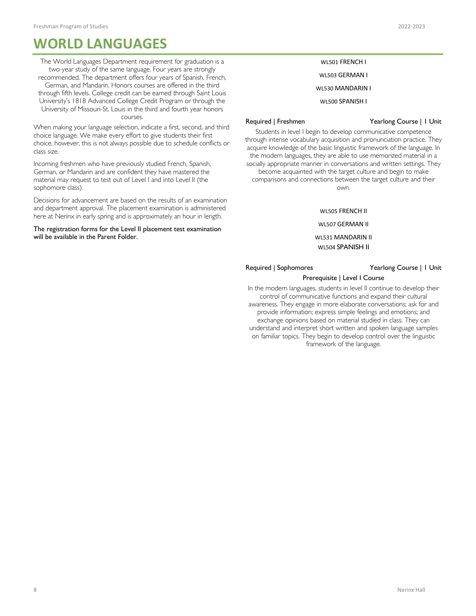# **WORLD LANGUAGES**

The World Languages Department requirement for graduation is a two-year study of the same language. Four years are strongly recommended. The department offers four years of Spanish, French, German, and Mandarin. Honors courses are offered in the third through fifth levels. College credit can be earned through Saint Louis University's 1818 Advanced College Credit Program or through the University of Missouri-St. Louis in the third and fourth year honors courses.

When making your language selection, indicate a first, second, and third choice language. We make every effort to give students their first choice, however, this is not always possible due to schedule conflicts or class size.

Incoming freshmen who have previously studied French, Spanish, German, or Mandarin and are confident they have mastered the material may request to test out of Level I and into Level II (the sophomore class).

Decisions for advancement are based on the results of an examination and department approval. The placement examination is administered here at Nerinx in early spring and is approximately an hour in length.

The registration forms for the Level II placement test examination will be available in the Parent Folder.

# WL501 FRENCH I

WL503 GERMAN I

WL530 MANDARIN I

WL500 SPANISH I

### Required | Freshmen Yearlong Course | 1 Unit

Students in level I begin to develop communicative competence through intense vocabulary acquisition and pronunciation practice. They acquire knowledge of the basic linguistic framework of the language. In the modern languages, they are able to use memorized material in a socially appropriate manner in conversations and written settings. They become acquainted with the target culture and begin to make comparisons and connections between the target culture and their own.

WL505 FRENCH II

WL507 GERMAN II

WL531 MANDARIN II WL504 SPANISH II

Required | Sophomores Yearlong Course | 1 Unit

### Prerequisite | Level I Course

In the modern languages, students in level II continue to develop their control of communicative functions and expand their cultural awareness. They engage in more elaborate conversations; ask for and provide information; express simple feelings and emotions; and exchange opinions based on material studied in class. They can understand and interpret short written and spoken language samples on familiar topics. They begin to develop control over the linguistic framework of the language.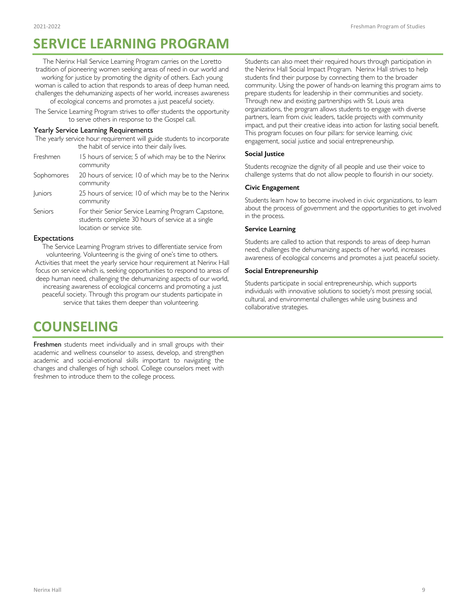# **SERVICE LEARNING PROGRAM**

The Nerinx Hall Service Learning Program carries on the Loretto tradition of pioneering women seeking areas of need in our world and working for justice by promoting the dignity of others. Each young woman is called to action that responds to areas of deep human need, challenges the dehumanizing aspects of her world, increases awareness of ecological concerns and promotes a just peaceful society.

The Service Learning Program strives to offer students the opportunity to serve others in response to the Gospel call.

### Yearly Service Learning Requirements

| The yearly service hour requirement will guide students to incorporate |  |  |
|------------------------------------------------------------------------|--|--|
| the habit of service into their daily lives.                           |  |  |

| Freshmen       | 15 hours of service; 5 of which may be to the Nerinx<br>community                                                                     |
|----------------|---------------------------------------------------------------------------------------------------------------------------------------|
| Sophomores     | 20 hours of service; 10 of which may be to the Nerinx<br>community                                                                    |
| <b>Juniors</b> | 25 hours of service; 10 of which may be to the Nerinx<br>community                                                                    |
| Seniors        | For their Senior Service Learning Program Capstone,<br>students complete 30 hours of service at a single<br>location or service site. |
|                |                                                                                                                                       |

### Expectations

The Service Learning Program strives to differentiate service from volunteering. Volunteering is the giving of one's time to others. Activities that meet the yearly service hour requirement at Nerinx Hall focus on service which is, seeking opportunities to respond to areas of deep human need, challenging the dehumanizing aspects of our world, increasing awareness of ecological concerns and promoting a just

peaceful society. Through this program our students participate in service that takes them deeper than volunteering.

# **COUNSELING**

Freshmen students meet individually and in small groups with their academic and wellness counselor to assess, develop, and strengthen academic and social-emotional skills important to navigating the changes and challenges of high school. College counselors meet with freshmen to introduce them to the college process.

Students can also meet their required hours through participation in the Nerinx Hall Social Impact Program. Nerinx Hall strives to help students find their purpose by connecting them to the broader community. Using the power of hands-on learning this program aims to prepare students for leadership in their communities and society. Through new and existing partnerships with St. Louis area organizations, the program allows students to engage with diverse partners, learn from civic leaders, tackle projects with community impact, and put their creative ideas into action for lasting social benefit. This program focuses on four pillars: for service learning, civic engagement, social justice and social entrepreneurship.

### **Social Justice**

Students recognize the dignity of all people and use their voice to challenge systems that do not allow people to flourish in our society.

### **Civic Engagement**

Students learn how to become involved in civic organizations, to learn about the process of government and the opportunities to get involved in the process.

### **Service Learning**

Students are called to action that responds to areas of deep human need, challenges the dehumanizing aspects of her world, increases awareness of ecological concerns and promotes a just peaceful society.

### **Social Entrepreneurship**

Students participate in social entrepreneurship, which supports individuals with innovative solutions to society's most pressing social, cultural, and environmental challenges while using business and collaborative strategies.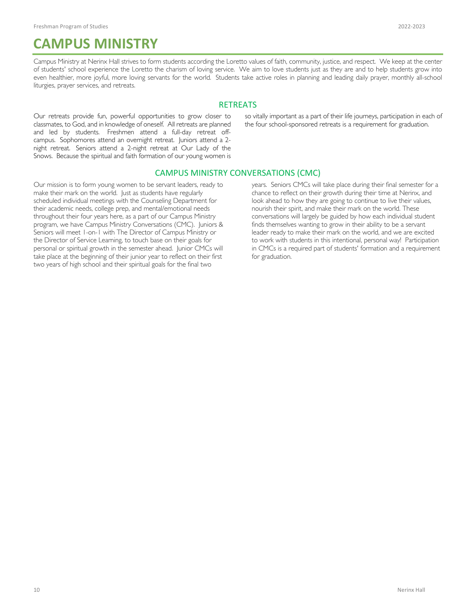# **CAMPUS MINISTRY**

Campus Ministry at Nerinx Hall strives to form students according the Loretto values of faith, community, justice, and respect. We keep at the center of students' school experience the Loretto the charism of loving service. We aim to love students just as they are and to help students grow into even healthier, more joyful, more loving servants for the world. Students take active roles in planning and leading daily prayer, monthly all-school liturgies, prayer services, and retreats.

## **RETREATS**

Our retreats provide fun, powerful opportunities to grow closer to classmates, to God, and in knowledge of oneself. All retreats are planned and led by students. Freshmen attend a full-day retreat offcampus. Sophomores attend an overnight retreat. Juniors attend a 2 night retreat. Seniors attend a 2-night retreat at Our Lady of the Snows. Because the spiritual and faith formation of our young women is

so vitally important as a part of their life journeys, participation in each of the four school-sponsored retreats is a requirement for graduation.

# CAMPUS MINISTRY CONVERSATIONS (CMC)

Our mission is to form young women to be servant leaders, ready to make their mark on the world. Just as students have regularly scheduled individual meetings with the Counseling Department for their academic needs, college prep, and mental/emotional needs throughout their four years here, as a part of our Campus Ministry program, we have Campus Ministry Conversations (CMC). Juniors & Seniors will meet 1-on-1 with The Director of Campus Ministry or the Director of Service Learning, to touch base on their goals for personal or spiritual growth in the semester ahead. Junior CMCs will take place at the beginning of their junior year to reflect on their first two years of high school and their spiritual goals for the final two

years. Seniors CMCs will take place during their final semester for a chance to reflect on their growth during their time at Nerinx, and look ahead to how they are going to continue to live their values, nourish their spirit, and make their mark on the world. These conversations will largely be guided by how each individual student finds themselves wanting to grow in their ability to be a servant leader ready to make their mark on the world, and we are excited to work with students in this intentional, personal way! Participation in CMCs is a required part of students' formation and a requirement for graduation.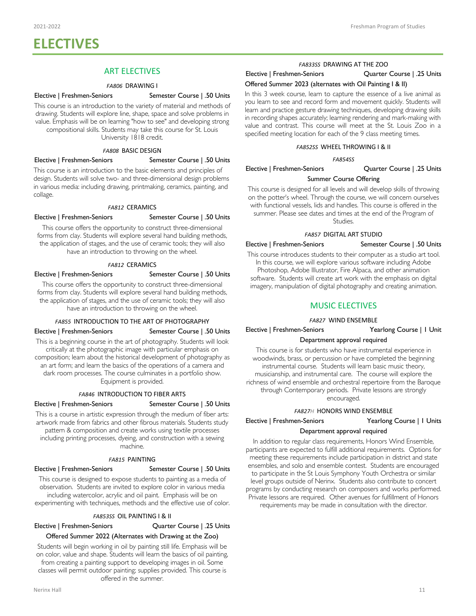# **ELECTIVES**

# ART ELECTIVES

### *FA806* DRAWING I

### Elective | Freshmen-Seniors Semester Course | .50 Units

This course is an introduction to the variety of material and methods of drawing. Students will explore line, shape, space and solve problems in value. Emphasis will be on learning "how to see" and developing strong compositional skills. Students may take this course for St. Louis University 1818 credit.

### *FA808* BASIC DESIGN

### Elective | Freshmen-Seniors Semester Course | .50 Units

This course is an introduction to the basic elements and principles of design. Students will solve two- and three-dimensional design problems in various media: including drawing, printmaking, ceramics, painting, and collage.

### *FA812* CERAMICS

### Elective | Freshmen-Seniors Semester Course | .50 Units

This course offers the opportunity to construct three-dimensional forms from clay. Students will explore several hand building methods, the application of stages, and the use of ceramic tools; they will also have an introduction to throwing on the wheel.

### *FA812* CERAMICS

### Elective | Freshmen-Seniors Semester Course | .50 Units

This course offers the opportunity to construct three-dimensional forms from clay. Students will explore several hand building methods, the application of stages, and the use of ceramic tools; they will also have an introduction to throwing on the wheel.

### *FA855* INTRODUCTION TO THE ART OF PHOTOGRAPHY

### Elective | Freshmen-Seniors Semester Course | .50 Units

This is a beginning course in the art of photography. Students will look critically at the photographic image with particular emphasis on composition; learn about the historical development of photography as an art form; and learn the basics of the operations of a camera and dark room processes. The course culminates in a portfolio show. Equipment is provided.

### *FA846* INTRODUCTION TO FIBER ARTS

### Elective | Freshmen-Seniors Semester Course | .50 Units

This is a course in artistic expression through the medium of fiber arts: artwork made from fabrics and other fibrous materials. Students study pattern & composition and create works using textile processes including printing processes, dyeing, and construction with a sewing machine.

### *FA815* PAINTING

### Elective | Freshmen-Seniors Semester Course | .50 Units

This course is designed to expose students to painting as a media of observation. Students are invited to explore color in various media including watercolor, acrylic and oil paint. Emphasis will be on experimenting with techniques, methods and the effective use of color.

### *FA853SS* OIL PAINTING I & II

### Elective | Freshmen-Seniors Quarter Course | .25 Units Offered Summer 2022 (Alternates with Drawing at the Zoo)

Students will begin working in oil by painting still life. Emphasis will be on color, value and shape. Students will learn the basics of oil painting, from creating a painting support to developing images in oil. Some classes will permit outdoor painting; supplies provided. This course is offered in the summer.

# Elective | Freshmen-Seniors Quarter Course | .25 Units

### Offered Summer 2023 (alternates with Oil Painting I & II)

In this 3 week course, learn to capture the essence of a live animal as you learn to see and record form and movement quickly. Students will learn and practice gesture drawing techniques, developing drawing skills in recording shapes accurately; learning rendering and mark-making with value and contrast. This course will meet at the St. Louis Zoo in a specified meeting location for each of the 9 class meeting times.

## *FA852SS* WHEEL THROWING I & II

*FA854SS*

### Elective | Freshmen-Seniors Quarter Course | .25 Units

### Summer Course Offering

This course is designed for all levels and will develop skills of throwing on the potter's wheel. Through the course, we will concern ourselves with functional vessels, lids and handles. This course is offered in the summer. Please see dates and times at the end of the Program of Studies.

### *FA857* DIGITAL ART STUDIO Elective | Freshmen-Seniors Semester Course | .50 Units

This course introduces students to their computer as a studio art tool. In this course, we will explore various software including Adobe Photoshop, Adobe Illustrator, Fire Alpaca, and other animation software. Students will create art work with the emphasis on digital imagery, manipulation of digital photography and creating animation.

## MUSIC ELECTIVES

### *FA827* WIND ENSEMBLE

Elective | Freshmen-Seniors | Yearlong Course | 1 Unit

### Department approval required

This course is for students who have instrumental experience in woodwinds, brass, or percussion or have completed the beginning instrumental course. Students will learn basic music theory, musicianship, and instrumental care. The course will explore the richness of wind ensemble and orchestral repertoire from the Baroque through Contemporary periods. Private lessons are strongly encouraged.

### *FA827H* HONORS WIND ENSEMBLE

# Elective | Freshmen-Seniors Yearlong Course | 1 Units Department approval required

In addition to regular class requirements, Honors Wind Ensemble, participants are expected to fulfill additional requirements. Options for meeting these requirements include participation in district and state ensembles, and solo and ensemble contest. Students are encouraged to participate in the St Louis Symphony Youth Orchestra or similar level groups outside of Nerinx. Students also contribute to concert programs by conducting research on composers and works performed. Private lessons are required. Other avenues for fulfillment of Honors requirements may be made in consultation with the director.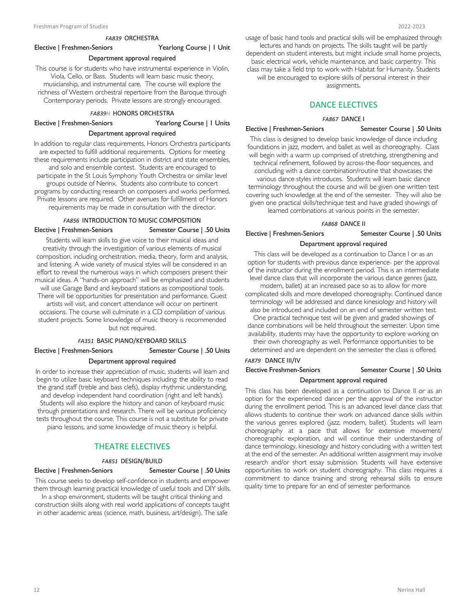# *FA839* ORCHESTRA

### Elective | Freshmen-Seniors Yearlong Course | 1 Unit

### Department approval required

This course is for students who have instrumental experience in Violin, Viola, Cello, or Bass. Students will learn basic music theory, musicianship, and instrumental care. The course will explore the richness of Western orchestral repertoire from the Baroque through Contemporary periods. Private lessons are strongly encouraged.

### *FA839H* HONORS ORCHESTRA

Elective | Freshmen-Seniors Yearlong Course | 1 Units

### Department approval required

In addition to regular class requirements, Honors Orchestra participants are expected to fulfill additional requirements. Options for meeting these requirements include participation in district and state ensembles, and solo and ensemble contest. Students are encouraged to participate in the St Louis Symphony Youth Orchestra or similar level groups outside of Nerinx. Students also contribute to concert programs by conducting research on composers and works performed. Private lessons are required. Other avenues for fulfillment of Honors requirements may be made in consultation with the director.

# *FA856* INTRODUCTION TO MUSIC COMPOSITION Elective | Freshmen-Seniors Semester Course | .50 Units

Students will learn skills to give voice to their musical ideas and creativity through the investigation of various elements of musical composition, including orchestration, media, theory, form and analysis, and listening. A wide variety of musical styles will be considered in an effort to reveal the numerous ways in which composers present their musical ideas. A "hands-on approach" will be emphasized and students will use Garage Band and keyboard stations as compositional tools.

There will be opportunities for presentation and performance. Guest artists will visit, and concert attendance will occur on pertinent occasions. The course will culminate in a CD compilation of various student projects. Some knowledge of music theory is recommended but not required.

### *FA351* BASIC PIANO/KEYBOARD SKILLS

Elective | Freshmen-Seniors Semester Course | .50 Units

### Department approval required

In order to increase their appreciation of music, students will learn and begin to utilize basic keyboard techniques including: the ability to read the grand staff (treble and bass clefs), display rhythmic understanding, and develop independent hand coordination (right and left hands). Students will also explore the history and canon of keyboard music through presentations and research. There will be various proficiency tests throughout the course. This course is not a substitute for private piano lessons, and some knowledge of music theory is helpful.

## THEATRE ELECTIVES

# *FA851* DESIGN/BUILD

### Elective | Freshmen-Seniors Semester Course | .50 Units

This course seeks to develop self-confidence in students and empower them through learning practical knowledge of useful tools and DIY skills. In a shop environment, students will be taught critical thinking and construction skills along with real world applications of concepts taught

in other academic areas (science, math, business, art/design). The safe

usage of basic hand tools and practical skills will be emphasized through lectures and hands on projects. The skills taught will be partly

dependent on student interests, but might include small home projects, basic electrical work, vehicle maintenance, and basic carpentry. This class may take a field trip to work with Habitat for Humanity. Students will be encouraged to explore skills of personal interest in their

assignments.

## DANCE ELECTIVES

### *FA867* DANCE I

### Elective | Freshmen-Seniors Semester Course | .50 Units

This class is designed to develop basic knowledge of dance including foundations in jazz, modern, and ballet as well as choreography. Class will begin with a warm up comprised of stretching, strengthening and technical refinement, followed by across-the-floor sequences, and concluding with a dance combination/routine that showcases the various dance styles introduces. Students will learn basic dance terminology throughout the course and will be given one written test covering such knowledge at the end of the semester. They will also be given one practical skills/technique test and have graded showings of learned combinations at various points in the semester.

### *FA868* DANCE II

# Elective | Freshmen-Seniors Semester Course | .50 Units Department approval required

This class will be developed as a continuation to Dance I or as an option for students with previous dance experience- per the approval of the instructor during the enrollment period. This is an intermediate level dance class that will incorporate the various dance genres (jazz,

modern, ballet) at an increased pace so as to allow for more complicated skills and more developed choreography. Continued dance terminology will be addressed and dance kinesiology and history will also be introduced and included on an end of semester written test.

One practical technique test will be given and graded showings of dance combinations will be held throughout the semester. Upon time availability, students may have the opportunity to explore working on

their own choreography as well. Performance opportunities to be determined and are dependent on the semester the class is offered.

## *FA879* DANCE III/IV

## Elective Freshmen-Seniors Semester Course | .50 Units Department approval required

This class has been developed as a continuation to Dance II or as an option for the experienced dancer per the approval of the instructor during the enrollment period. This is an advanced level dance class that allows students to continue their work on advanced dance skills within the various genres explored (jazz, modern, ballet). Students will learn choreography at a pace that allows for extensive movement/ choreographic exploration, and will continue their understanding of dance terminology, kinesiology and history concluding with a written test at the end of the semester. An additional written assignment may involve research and/or short essay submission. Students will have extensive opportunities to work on student choreography. This class requires a commitment to dance training and strong rehearsal skills to ensure quality time to prepare for an end of semester performance.